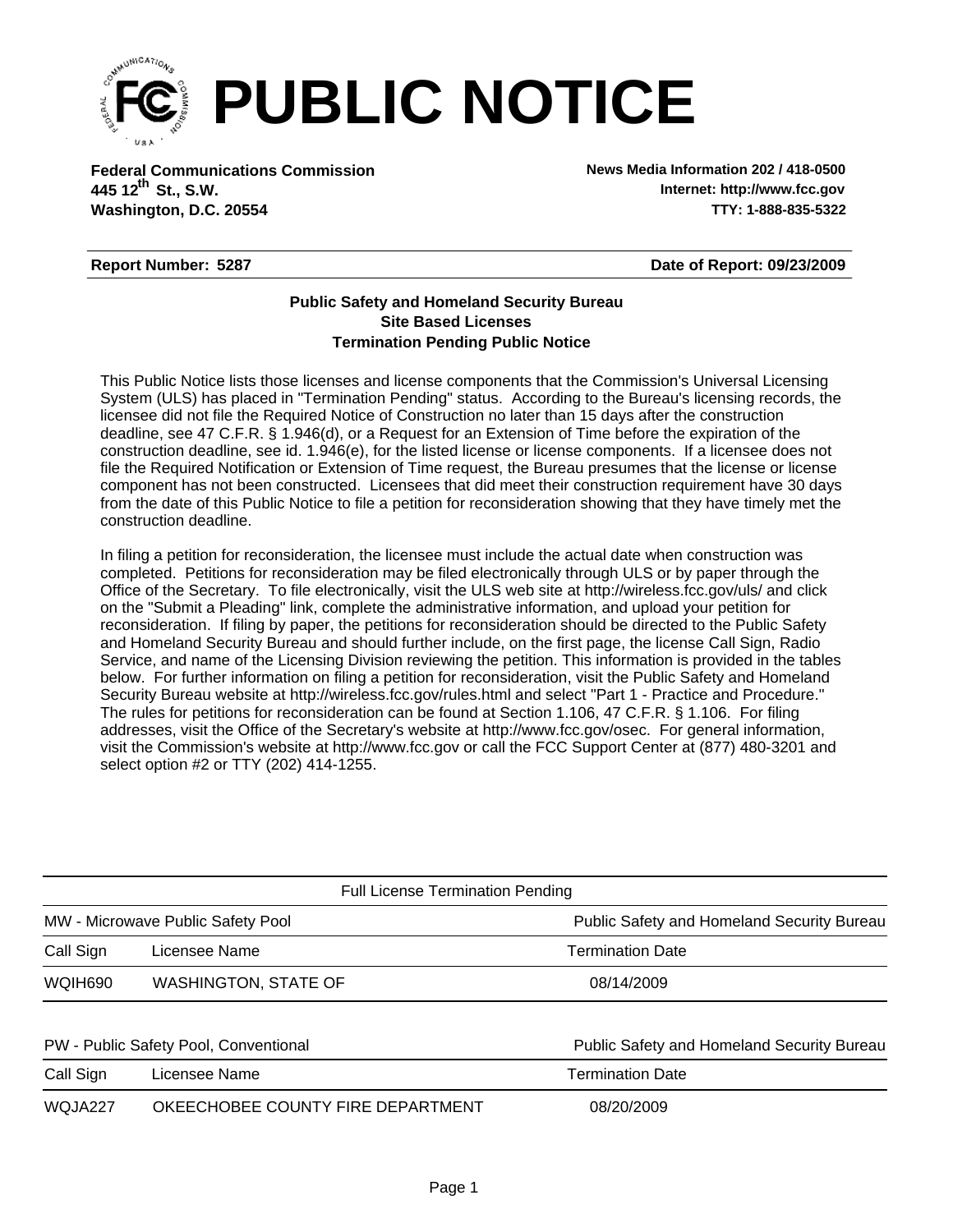

**Federal Communications Commission News Media Information 202 / 418-0500 Washington, D.C. 20554 TTY: 1-888-835-5322 445 12<sup>th</sup> St., S.W.** 

**Internet: http://www.fcc.gov**

## **Report Number: 5287**

**Date of Report: 09/23/2009**

## **Termination Pending Public Notice Site Based Licenses Public Safety and Homeland Security Bureau**

This Public Notice lists those licenses and license components that the Commission's Universal Licensing System (ULS) has placed in "Termination Pending" status. According to the Bureau's licensing records, the licensee did not file the Required Notice of Construction no later than 15 days after the construction deadline, see 47 C.F.R. § 1.946(d), or a Request for an Extension of Time before the expiration of the construction deadline, see id. 1.946(e), for the listed license or license components. If a licensee does not file the Required Notification or Extension of Time request, the Bureau presumes that the license or license component has not been constructed. Licensees that did meet their construction requirement have 30 days from the date of this Public Notice to file a petition for reconsideration showing that they have timely met the construction deadline.

In filing a petition for reconsideration, the licensee must include the actual date when construction was completed. Petitions for reconsideration may be filed electronically through ULS or by paper through the Office of the Secretary. To file electronically, visit the ULS web site at http://wireless.fcc.gov/uls/ and click on the "Submit a Pleading" link, complete the administrative information, and upload your petition for reconsideration. If filing by paper, the petitions for reconsideration should be directed to the Public Safety and Homeland Security Bureau and should further include, on the first page, the license Call Sign, Radio Service, and name of the Licensing Division reviewing the petition. This information is provided in the tables below. For further information on filing a petition for reconsideration, visit the Public Safety and Homeland Security Bureau website at http://wireless.fcc.gov/rules.html and select "Part 1 - Practice and Procedure." The rules for petitions for reconsideration can be found at Section 1.106, 47 C.F.R. § 1.106. For filing addresses, visit the Office of the Secretary's website at http://www.fcc.gov/osec. For general information, visit the Commission's website at http://www.fcc.gov or call the FCC Support Center at (877) 480-3201 and select option #2 or TTY (202) 414-1255.

| <b>Full License Termination Pending</b>                                         |                                   |                                                   |  |  |  |  |
|---------------------------------------------------------------------------------|-----------------------------------|---------------------------------------------------|--|--|--|--|
| Public Safety and Homeland Security Bureau<br>MW - Microwave Public Safety Pool |                                   |                                                   |  |  |  |  |
| Call Sign                                                                       | Licensee Name                     | <b>Termination Date</b>                           |  |  |  |  |
| WQIH690<br>WASHINGTON, STATE OF                                                 |                                   | 08/14/2009                                        |  |  |  |  |
| PW - Public Safety Pool, Conventional                                           |                                   | <b>Public Safety and Homeland Security Bureau</b> |  |  |  |  |
| Call Sign<br>Licensee Name<br><b>Termination Date</b>                           |                                   |                                                   |  |  |  |  |
| WQJA227                                                                         | OKEECHOBEE COUNTY FIRE DEPARTMENT | 08/20/2009                                        |  |  |  |  |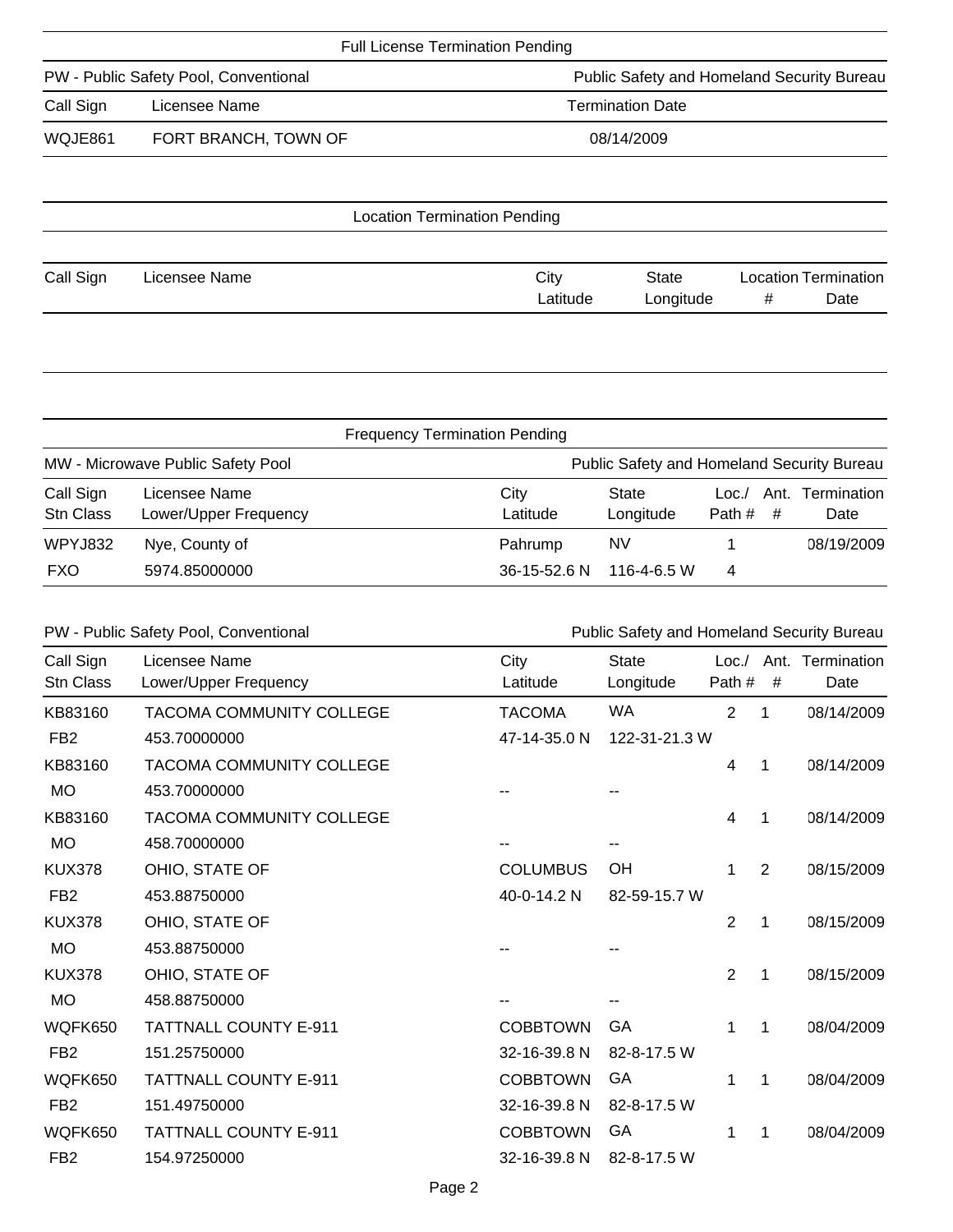| <b>Full License Termination Pending</b>                                             |                                     |            |  |  |  |
|-------------------------------------------------------------------------------------|-------------------------------------|------------|--|--|--|
| Public Safety and Homeland Security Bureau<br>PW - Public Safety Pool, Conventional |                                     |            |  |  |  |
| Call Sign<br>Licensee Name<br><b>Termination Date</b>                               |                                     |            |  |  |  |
| WQJE861<br>FORT BRANCH, TOWN OF                                                     |                                     | 08/14/2009 |  |  |  |
|                                                                                     | <b>Location Termination Pending</b> |            |  |  |  |
|                                                                                     |                                     |            |  |  |  |

| Call Sign | Licensee Name | City     | State     | <b>Location Termination</b> |      |
|-----------|---------------|----------|-----------|-----------------------------|------|
|           |               | ∟atitude | ∟ongitude |                             | Date |

| <b>Frequency Termination Pending</b> |                                        |  |                  |                                            |                |           |                     |
|--------------------------------------|----------------------------------------|--|------------------|--------------------------------------------|----------------|-----------|---------------------|
| MW - Microwave Public Safety Pool    |                                        |  |                  | Public Safety and Homeland Security Bureau |                |           |                     |
| Call Sign<br><b>Stn Class</b>        | Licensee Name<br>Lower/Upper Frequency |  | City<br>Latitude | <b>State</b><br>Longitude                  | Loc/<br>Path # | Ant.<br># | Termination<br>Date |
| WPYJ832                              | Nye, County of                         |  | Pahrump          | NV                                         |                |           | 08/19/2009          |
| <b>FXO</b>                           | 5974.85000000                          |  | 36-15-52.6 N     | $116 - 4 - 6.5 W$                          | 4              |           |                     |

| PW - Public Safety Pool, Conventional |                                        |                  | Public Safety and Homeland Security Bureau |                |                |                          |
|---------------------------------------|----------------------------------------|------------------|--------------------------------------------|----------------|----------------|--------------------------|
| Call Sign<br><b>Stn Class</b>         | Licensee Name<br>Lower/Upper Frequency | City<br>Latitude | <b>State</b><br>Longitude                  | Loc.<br>Path # | #              | Ant. Termination<br>Date |
| KB83160                               | <b>TACOMA COMMUNITY COLLEGE</b>        | <b>TACOMA</b>    | <b>WA</b>                                  | $\overline{2}$ | 1              | 08/14/2009               |
| FB <sub>2</sub>                       | 453.70000000                           | 47-14-35.0 N     | 122-31-21.3 W                              |                |                |                          |
| KB83160                               | <b>TACOMA COMMUNITY COLLEGE</b>        |                  |                                            | 4              | 1              | 08/14/2009               |
| <b>MO</b>                             | 453.70000000                           |                  |                                            |                |                |                          |
| KB83160                               | <b>TACOMA COMMUNITY COLLEGE</b>        |                  |                                            | 4              | 1              | 08/14/2009               |
| <b>MO</b>                             | 458.70000000                           |                  |                                            |                |                |                          |
| <b>KUX378</b>                         | OHIO, STATE OF                         | <b>COLUMBUS</b>  | <b>OH</b>                                  | 1              | $\overline{2}$ | 08/15/2009               |
| FB <sub>2</sub>                       | 453.88750000                           | 40-0-14.2 N      | 82-59-15.7 W                               |                |                |                          |
| <b>KUX378</b>                         | OHIO, STATE OF                         |                  |                                            | 2              | 1              | 08/15/2009               |
| <b>MO</b>                             | 453.88750000                           |                  |                                            |                |                |                          |
| <b>KUX378</b>                         | OHIO, STATE OF                         |                  |                                            | 2              | 1              | 08/15/2009               |
| <b>MO</b>                             | 458.88750000                           |                  |                                            |                |                |                          |
| WQFK650                               | <b>TATTNALL COUNTY E-911</b>           | <b>COBBTOWN</b>  | GA                                         | 1              | 1              | 08/04/2009               |
| FB <sub>2</sub>                       | 151.25750000                           | 32-16-39.8 N     | 82-8-17.5 W                                |                |                |                          |
| WQFK650                               | <b>TATTNALL COUNTY E-911</b>           | <b>COBBTOWN</b>  | GA                                         | 1              | $\mathbf{1}$   | 08/04/2009               |
| FB <sub>2</sub>                       | 151.49750000                           | 32-16-39.8 N     | 82-8-17.5 W                                |                |                |                          |
| WQFK650                               | <b>TATTNALL COUNTY E-911</b>           | <b>COBBTOWN</b>  | GA                                         | 1              | 1              | 08/04/2009               |
| FB <sub>2</sub>                       | 154.97250000                           | 32-16-39.8 N     | 82-8-17.5 W                                |                |                |                          |
|                                       |                                        |                  |                                            |                |                |                          |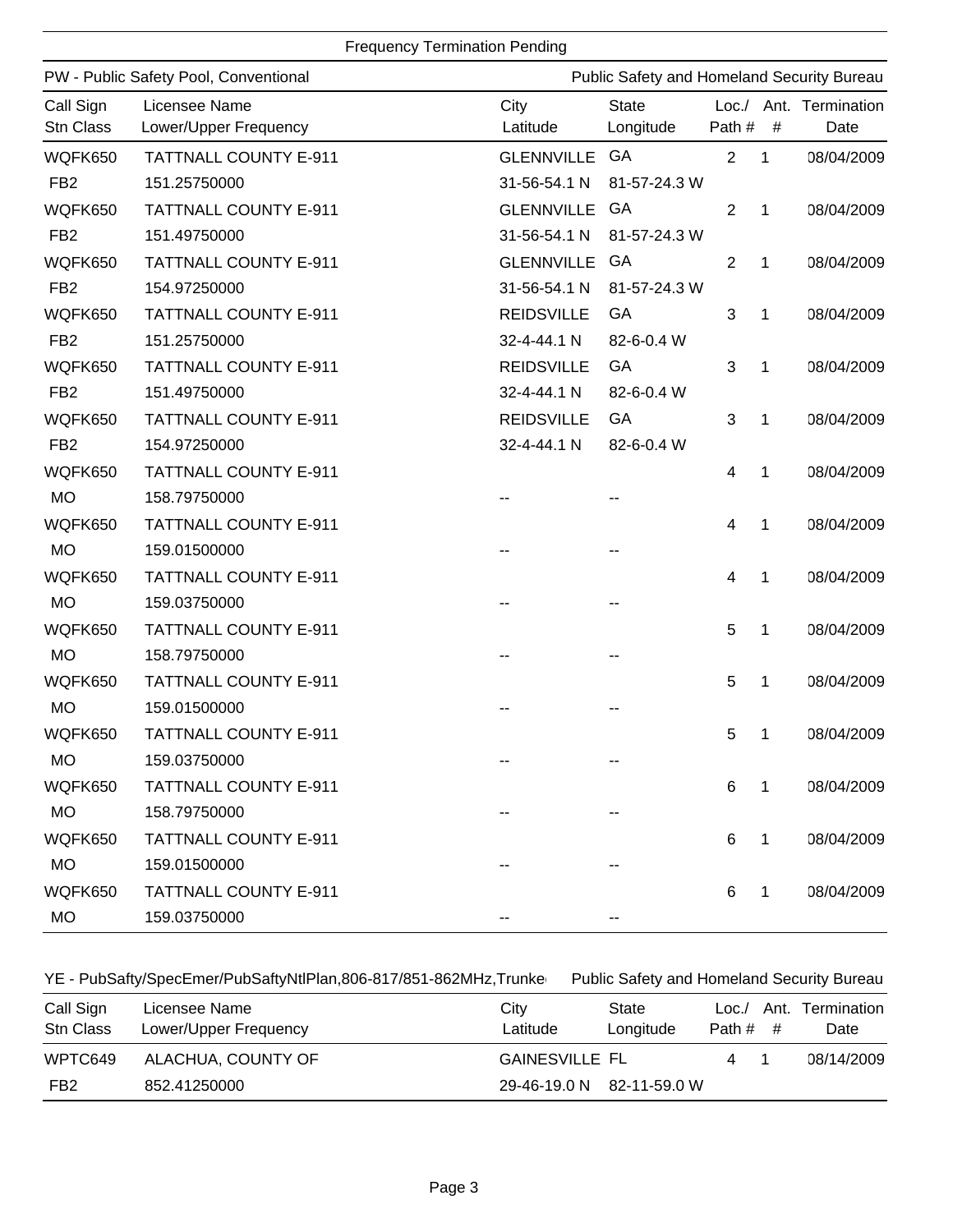| <b>Frequency Termination Pending</b> |                                       |                   |                                            |                |              |                        |
|--------------------------------------|---------------------------------------|-------------------|--------------------------------------------|----------------|--------------|------------------------|
|                                      | PW - Public Safety Pool, Conventional |                   | Public Safety and Homeland Security Bureau |                |              |                        |
| Call Sign                            | Licensee Name                         | City              | <b>State</b>                               |                |              | Loc./ Ant. Termination |
| Stn Class                            | Lower/Upper Frequency                 | Latitude          | Longitude                                  | Path #         | $\#$         | Date                   |
| WQFK650                              | <b>TATTNALL COUNTY E-911</b>          | <b>GLENNVILLE</b> | GA                                         | 2              | 1            | 08/04/2009             |
| FB <sub>2</sub>                      | 151.25750000                          | 31-56-54.1 N      | 81-57-24.3 W                               |                |              |                        |
| WQFK650                              | <b>TATTNALL COUNTY E-911</b>          | <b>GLENNVILLE</b> | GA                                         | 2              | 1            | 08/04/2009             |
| FB <sub>2</sub>                      | 151.49750000                          | 31-56-54.1 N      | 81-57-24.3 W                               |                |              |                        |
| WQFK650                              | <b>TATTNALL COUNTY E-911</b>          | <b>GLENNVILLE</b> | GA                                         | $\overline{2}$ | $\mathbf{1}$ | 08/04/2009             |
| FB <sub>2</sub>                      | 154.97250000                          | 31-56-54.1 N      | 81-57-24.3 W                               |                |              |                        |
| WQFK650                              | <b>TATTNALL COUNTY E-911</b>          | <b>REIDSVILLE</b> | GA                                         | 3              | 1            | 08/04/2009             |
| FB <sub>2</sub>                      | 151.25750000                          | 32-4-44.1 N       | 82-6-0.4 W                                 |                |              |                        |
| WQFK650                              | <b>TATTNALL COUNTY E-911</b>          | <b>REIDSVILLE</b> | GA                                         | 3              | $\mathbf{1}$ | 08/04/2009             |
| FB <sub>2</sub>                      | 151.49750000                          | 32-4-44.1 N       | 82-6-0.4 W                                 |                |              |                        |
| WQFK650                              | <b>TATTNALL COUNTY E-911</b>          | <b>REIDSVILLE</b> | GA                                         | 3              | 1            | 08/04/2009             |
| FB <sub>2</sub>                      | 154.97250000                          | 32-4-44.1 N       | 82-6-0.4 W                                 |                |              |                        |
| WQFK650                              | <b>TATTNALL COUNTY E-911</b>          |                   |                                            | $\overline{4}$ | $\mathbf 1$  | 08/04/2009             |
| <b>MO</b>                            | 158.79750000                          |                   |                                            |                |              |                        |
| WQFK650                              | <b>TATTNALL COUNTY E-911</b>          |                   |                                            | $\overline{4}$ | $\mathbf{1}$ | 08/04/2009             |
| <b>MO</b>                            | 159.01500000                          |                   |                                            |                |              |                        |
| WQFK650                              | <b>TATTNALL COUNTY E-911</b>          |                   |                                            | $\overline{4}$ | 1            | 08/04/2009             |
| <b>MO</b>                            | 159.03750000                          |                   |                                            |                |              |                        |
| WQFK650                              | <b>TATTNALL COUNTY E-911</b>          |                   |                                            | 5              | 1            | 08/04/2009             |
| <b>MO</b>                            | 158.79750000                          |                   |                                            |                |              |                        |
| WQFK650                              | <b>TATTNALL COUNTY E-911</b>          |                   |                                            | 5              | 1            | 08/04/2009             |
| <b>MO</b>                            | 159.01500000                          |                   |                                            |                |              |                        |
| WQFK650                              | <b>TATTNALL COUNTY E-911</b>          |                   |                                            | 5              | 1            | 08/04/2009             |
| <b>MO</b>                            | 159.03750000                          |                   |                                            |                |              |                        |
| WQFK650                              | <b>TATTNALL COUNTY E-911</b>          |                   |                                            | 6              | $\mathbf{1}$ | 08/04/2009             |
| <b>MO</b>                            | 158.79750000                          |                   |                                            |                |              |                        |
| WQFK650                              | <b>TATTNALL COUNTY E-911</b>          |                   |                                            | 6              | $\mathbf{1}$ | 08/04/2009             |
| <b>MO</b>                            | 159.01500000                          |                   |                                            |                |              |                        |
| WQFK650                              | <b>TATTNALL COUNTY E-911</b>          |                   |                                            | 6              | $\mathbf{1}$ | 08/04/2009             |
| <b>MO</b>                            | 159.03750000                          |                   |                                            |                |              |                        |

## YE - PubSafty/SpecEmer/PubSaftyNtlPlan,806-817/851-862MHz,Trunke Public Safety and Homeland Security Bureau

| Call Sign       | Licensee Name         | City                      | State     |             | Loc./ Ant. Termination |
|-----------------|-----------------------|---------------------------|-----------|-------------|------------------------|
| Stn Class       | Lower/Upper Frequency | Latitude                  | Longitude | Path $\#$ # | Date                   |
| WPTC649         | ALACHUA, COUNTY OF    | <b>GAINESVILLE FL</b>     |           | 4 1         | 08/14/2009             |
| FB <sub>2</sub> | 852.41250000          | 29-46-19.0 N 82-11-59.0 W |           |             |                        |